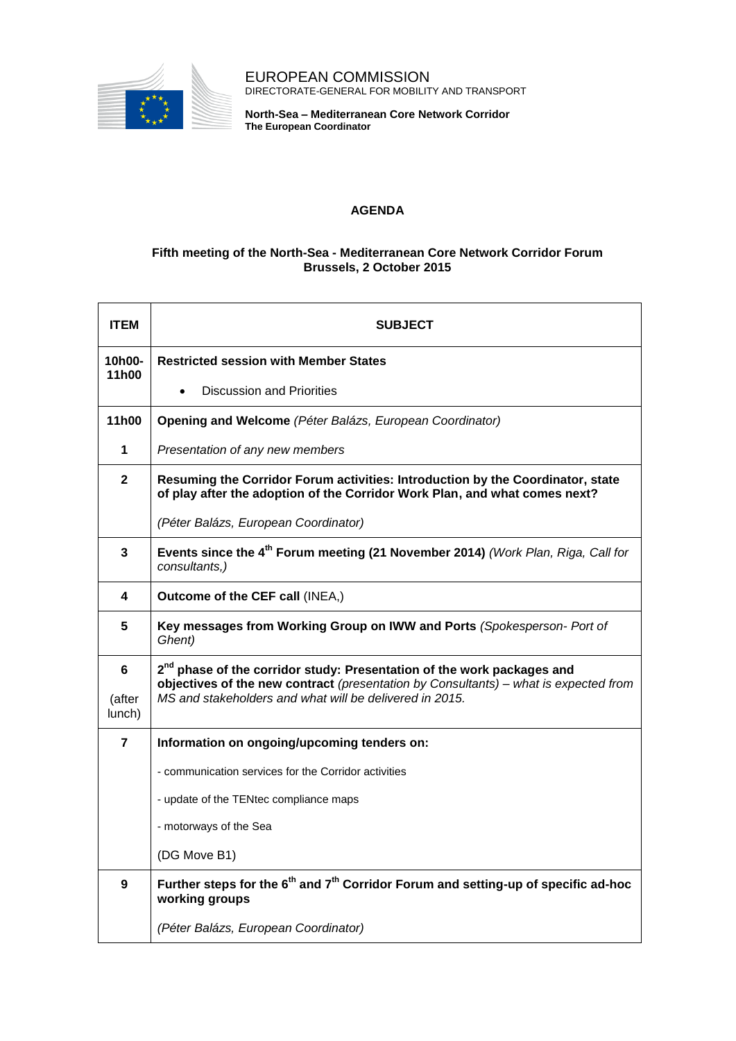

EUROPEAN COMMISSION DIRECTORATE-GENERAL FOR MOBILITY AND TRANSPORT

**North-Sea – Mediterranean Core Network Corridor The European Coordinator**

## **AGENDA**

## **Fifth meeting of the North-Sea - Mediterranean Core Network Corridor Forum Brussels, 2 October 2015**

| <b>ITEM</b>           | <b>SUBJECT</b>                                                                                                                                                                                                                        |
|-----------------------|---------------------------------------------------------------------------------------------------------------------------------------------------------------------------------------------------------------------------------------|
| 10h00-<br>11h00       | <b>Restricted session with Member States</b>                                                                                                                                                                                          |
|                       | <b>Discussion and Priorities</b>                                                                                                                                                                                                      |
| 11h00                 | Opening and Welcome (Péter Balázs, European Coordinator)                                                                                                                                                                              |
| $\mathbf{1}$          | Presentation of any new members                                                                                                                                                                                                       |
| $\mathbf{2}$          | Resuming the Corridor Forum activities: Introduction by the Coordinator, state<br>of play after the adoption of the Corridor Work Plan, and what comes next?                                                                          |
|                       | (Péter Balázs, European Coordinator)                                                                                                                                                                                                  |
| $\overline{3}$        | Events since the 4 <sup>th</sup> Forum meeting (21 November 2014) (Work Plan, Riga, Call for<br>consultants,)                                                                                                                         |
| 4                     | Outcome of the CEF call (INEA,)                                                                                                                                                                                                       |
| 5                     | Key messages from Working Group on IWW and Ports (Spokesperson- Port of<br>Ghent)                                                                                                                                                     |
| 6<br>(after<br>lunch) | 2 <sup>nd</sup> phase of the corridor study: Presentation of the work packages and<br>objectives of the new contract (presentation by Consultants) - what is expected from<br>MS and stakeholders and what will be delivered in 2015. |
| $\overline{7}$        | Information on ongoing/upcoming tenders on:                                                                                                                                                                                           |
|                       | - communication services for the Corridor activities                                                                                                                                                                                  |
|                       | - update of the TENtec compliance maps                                                                                                                                                                                                |
|                       | - motorways of the Sea                                                                                                                                                                                                                |
|                       | (DG Move B1)                                                                                                                                                                                                                          |
| 9                     | Further steps for the $6th$ and $7th$ Corridor Forum and setting-up of specific ad-hoc<br>working groups                                                                                                                              |
|                       | (Péter Balázs, European Coordinator)                                                                                                                                                                                                  |